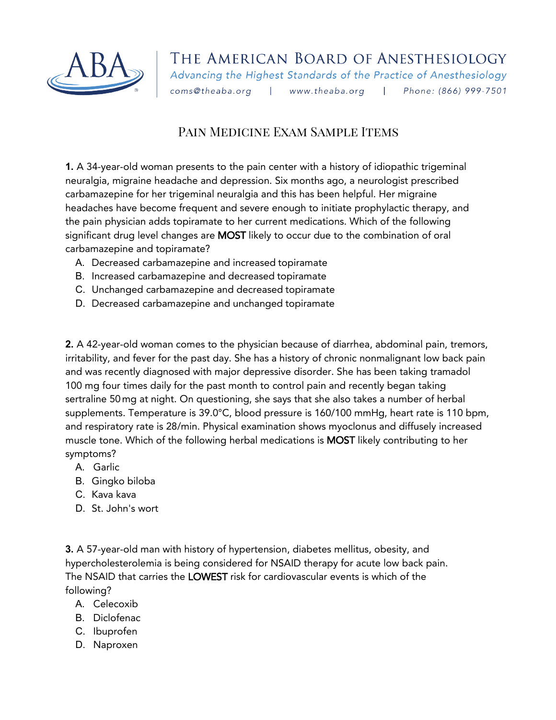

## Pain Medicine Exam Sample Items

**1.** A 34-year-old woman presents to the pain center with a history of idiopathic trigeminal neuralgia, migraine headache and depression. Six months ago, a neurologist prescribed carbamazepine for her trigeminal neuralgia and this has been helpful. Her migraine headaches have become frequent and severe enough to initiate prophylactic therapy, and the pain physician adds topiramate to her current medications. Which of the following significant drug level changes are MOST likely to occur due to the combination of oral carbamazepine and topiramate?

- A. Decreased carbamazepine and increased topiramate
- B. Increased carbamazepine and decreased topiramate
- C. Unchanged carbamazepine and decreased topiramate
- D. Decreased carbamazepine and unchanged topiramate

**2.** A 42-year-old woman comes to the physician because of diarrhea, abdominal pain, tremors, irritability, and fever for the past day. She has a history of chronic nonmalignant low back pain and was recently diagnosed with major depressive disorder. She has been taking tramadol 100 mg four times daily for the past month to control pain and recently began taking sertraline 50mg at night. On questioning, she says that she also takes a number of herbal supplements. Temperature is 39.0°C, blood pressure is 160/100 mmHg, heart rate is 110 bpm, and respiratory rate is 28/min. Physical examination shows myoclonus and diffusely increased muscle tone. Which of the following herbal medications is MOST likely contributing to her symptoms?

- A. Garlic
- B. Gingko biloba
- C. Kava kava
- D. St. John's wort

**3.** A 57-year-old man with history of hypertension, diabetes mellitus, obesity, and hypercholesterolemia is being considered for NSAID therapy for acute low back pain. The NSAID that carries the LOWEST risk for cardiovascular events is which of the following?

- A. Celecoxib
- B. Diclofenac
- C. Ibuprofen
- D. Naproxen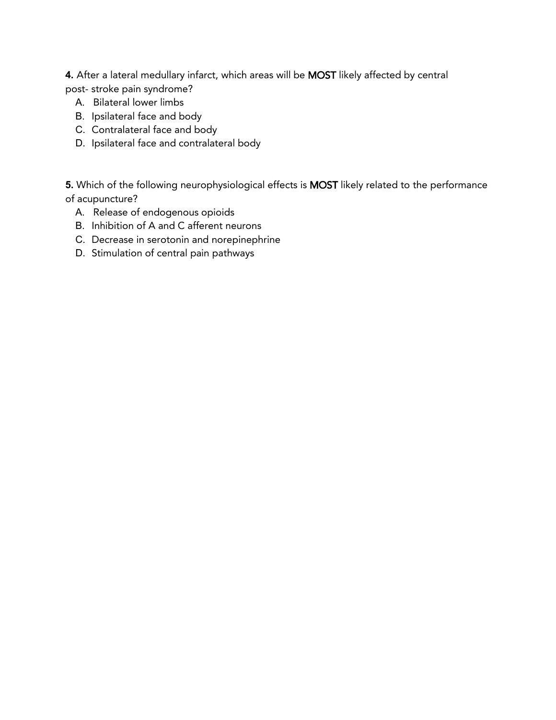**4.** After a lateral medullary infarct, which areas will be MOST likely affected by central post- stroke pain syndrome?

- A. Bilateral lower limbs
- B. Ipsilateral face and body
- C. Contralateral face and body
- D. Ipsilateral face and contralateral body

**5.** Which of the following neurophysiological effects is MOST likely related to the performance of acupuncture?

- A. Release of endogenous opioids
- B. Inhibition of A and C afferent neurons
- C. Decrease in serotonin and norepinephrine
- D. Stimulation of central pain pathways